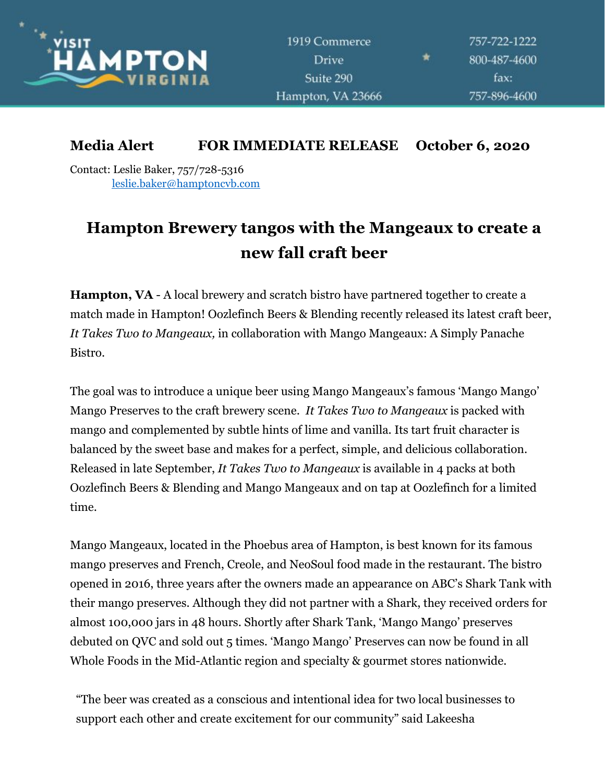

## **Media Alert FOR IMMEDIATE RELEASE October 6, 2020**

Contact: Leslie Baker, 757/728-5316 leslie.baker@hamptoncvb.com

## **Hampton Brewery tangos with the Mangeaux to create a new fall craft beer**

**Hampton, VA** - A local brewery and scratch bistro have partnered together to create a match made in Hampton! Oozlefinch Beers & Blending recently released its latest craft beer, *It Takes Two to Mangeaux,* in collaboration with Mango Mangeaux: A Simply Panache Bistro.

The goal was to introduce a unique beer using Mango Mangeaux's famous 'Mango Mango' Mango Preserves to the craft brewery scene. *It Takes Two to Mangeaux* is packed with mango and complemented by subtle hints of lime and vanilla. Its tart fruit character is balanced by the sweet base and makes for a perfect, simple, and delicious collaboration. Released in late September, *It Takes Two to Mangeaux* is available in 4 packs at both Oozlefinch Beers & Blending and Mango Mangeaux and on tap at Oozlefinch for a limited time.

Mango Mangeaux, located in the Phoebus area of Hampton, is best known for its famous mango preserves and French, Creole, and NeoSoul food made in the restaurant. The bistro opened in 2016, three years after the owners made an appearance on ABC's Shark Tank with their mango preserves. Although they did not partner with a Shark, they received orders for almost 100,000 jars in 48 hours. Shortly after Shark Tank, 'Mango Mango' preserves debuted on QVC and sold out 5 times. 'Mango Mango' Preserves can now be found in all Whole Foods in the Mid-Atlantic region and specialty & gourmet stores nationwide.

"The beer was created as a conscious and intentional idea for two local businesses to support each other and create excitement for our community" said Lakeesha